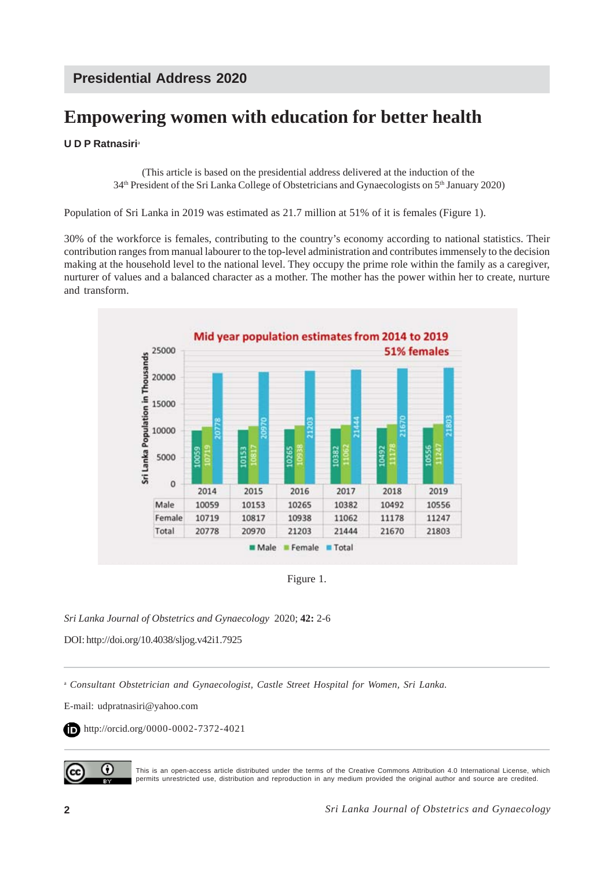# **Empowering women with education for better health**

### **U D P Ratnasiri**<sup>a</sup>

 (This article is based on the presidential address delivered at the induction of the 34th President of the Sri Lanka College of Obstetricians and Gynaecologists on 5th January 2020)

Population of Sri Lanka in 2019 was estimated as 21.7 million at 51% of it is females (Figure 1).

30% of the workforce is females, contributing to the country's economy according to national statistics. Their contribution ranges from manual labourer to the top-level administration and contributes immensely to the decision making at the household level to the national level. They occupy the prime role within the family as a caregiver, nurturer of values and a balanced character as a mother. The mother has the power within her to create, nurture and transform.



Figure 1.

*Sri Lanka Journal of Obstetrics and Gynaecology* 2020; **42:** 2-6

DOI: http://doi.org/10.4038/sljog.v42i1.7925

<sup>a</sup> *Consultant Obstetrician and Gynaecologist, Castle Street Hospital for Women, Sri Lanka.*

E-mail: udpratnasiri@yahoo.com

http://orcid.org/0000-0002-7372-4021



This is an open-access article distributed under the terms of the Creative Commons Attribution 4.0 International License, which permits unrestricted use, distribution and reproduction in any medium provided the original author and source are credited.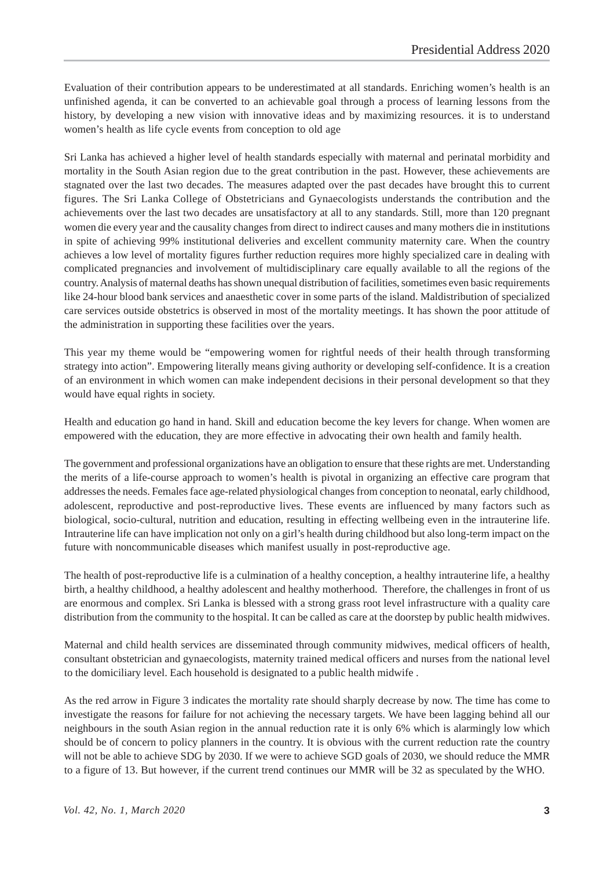Evaluation of their contribution appears to be underestimated at all standards. Enriching women's health is an unfinished agenda, it can be converted to an achievable goal through a process of learning lessons from the history, by developing a new vision with innovative ideas and by maximizing resources. it is to understand women's health as life cycle events from conception to old age

Sri Lanka has achieved a higher level of health standards especially with maternal and perinatal morbidity and mortality in the South Asian region due to the great contribution in the past. However, these achievements are stagnated over the last two decades. The measures adapted over the past decades have brought this to current figures. The Sri Lanka College of Obstetricians and Gynaecologists understands the contribution and the achievements over the last two decades are unsatisfactory at all to any standards. Still, more than 120 pregnant women die every year and the causality changes from direct to indirect causes and many mothers die in institutions in spite of achieving 99% institutional deliveries and excellent community maternity care. When the country achieves a low level of mortality figures further reduction requires more highly specialized care in dealing with complicated pregnancies and involvement of multidisciplinary care equally available to all the regions of the country. Analysis of maternal deaths has shown unequal distribution of facilities, sometimes even basic requirements like 24-hour blood bank services and anaesthetic cover in some parts of the island. Maldistribution of specialized care services outside obstetrics is observed in most of the mortality meetings. It has shown the poor attitude of the administration in supporting these facilities over the years.

This year my theme would be "empowering women for rightful needs of their health through transforming strategy into action". Empowering literally means giving authority or developing self-confidence. It is a creation of an environment in which women can make independent decisions in their personal development so that they would have equal rights in society.

Health and education go hand in hand. Skill and education become the key levers for change. When women are empowered with the education, they are more effective in advocating their own health and family health.

The government and professional organizations have an obligation to ensure that these rights are met. Understanding the merits of a life-course approach to women's health is pivotal in organizing an effective care program that addresses the needs. Females face age-related physiological changes from conception to neonatal, early childhood, adolescent, reproductive and post-reproductive lives. These events are influenced by many factors such as biological, socio-cultural, nutrition and education, resulting in effecting wellbeing even in the intrauterine life. Intrauterine life can have implication not only on a girl's health during childhood but also long-term impact on the future with noncommunicable diseases which manifest usually in post-reproductive age.

The health of post-reproductive life is a culmination of a healthy conception, a healthy intrauterine life, a healthy birth, a healthy childhood, a healthy adolescent and healthy motherhood. Therefore, the challenges in front of us are enormous and complex. Sri Lanka is blessed with a strong grass root level infrastructure with a quality care distribution from the community to the hospital. It can be called as care at the doorstep by public health midwives.

Maternal and child health services are disseminated through community midwives, medical officers of health, consultant obstetrician and gynaecologists, maternity trained medical officers and nurses from the national level to the domiciliary level. Each household is designated to a public health midwife .

As the red arrow in Figure 3 indicates the mortality rate should sharply decrease by now. The time has come to investigate the reasons for failure for not achieving the necessary targets. We have been lagging behind all our neighbours in the south Asian region in the annual reduction rate it is only 6% which is alarmingly low which should be of concern to policy planners in the country. It is obvious with the current reduction rate the country will not be able to achieve SDG by 2030. If we were to achieve SGD goals of 2030, we should reduce the MMR to a figure of 13. But however, if the current trend continues our MMR will be 32 as speculated by the WHO.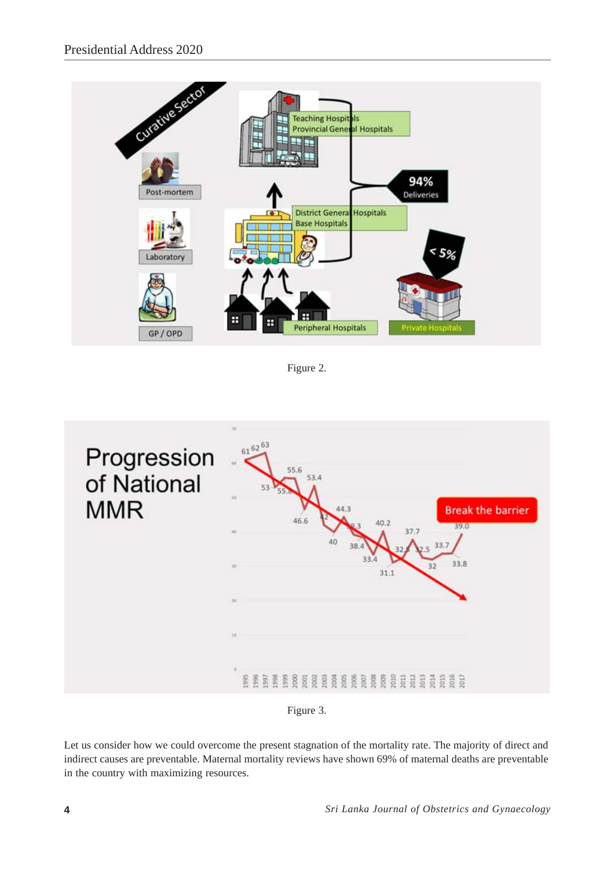

Figure 2.





Let us consider how we could overcome the present stagnation of the mortality rate. The majority of direct and indirect causes are preventable. Maternal mortality reviews have shown 69% of maternal deaths are preventable in the country with maximizing resources.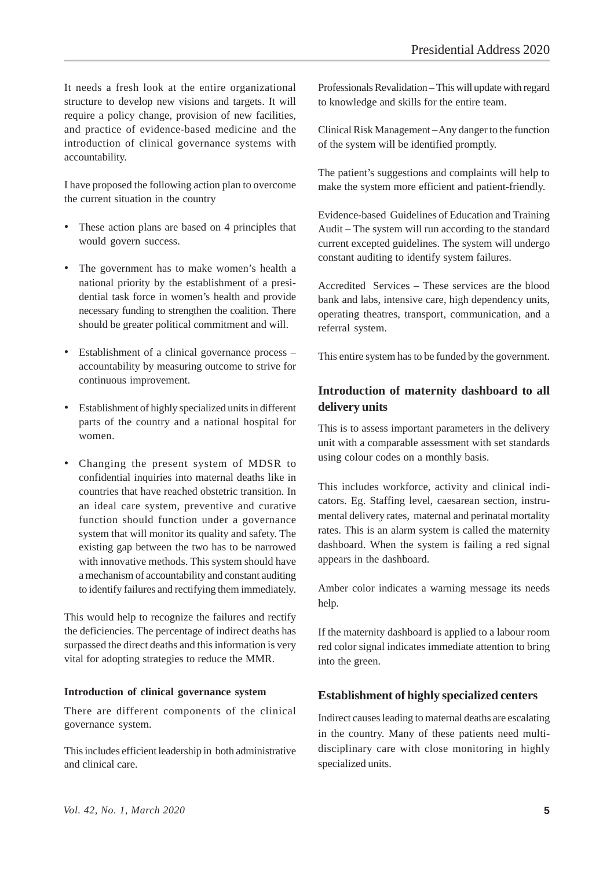It needs a fresh look at the entire organizational structure to develop new visions and targets. It will require a policy change, provision of new facilities, and practice of evidence-based medicine and the introduction of clinical governance systems with accountability.

I have proposed the following action plan to overcome the current situation in the country

- These action plans are based on 4 principles that would govern success.
- The government has to make women's health a national priority by the establishment of a presidential task force in women's health and provide necessary funding to strengthen the coalition. There should be greater political commitment and will.
- Establishment of a clinical governance process accountability by measuring outcome to strive for continuous improvement.
- Establishment of highly specialized units in different parts of the country and a national hospital for women.
- Changing the present system of MDSR to confidential inquiries into maternal deaths like in countries that have reached obstetric transition. In an ideal care system, preventive and curative function should function under a governance system that will monitor its quality and safety. The existing gap between the two has to be narrowed with innovative methods. This system should have a mechanism of accountability and constant auditing to identify failures and rectifying them immediately.

This would help to recognize the failures and rectify the deficiencies. The percentage of indirect deaths has surpassed the direct deaths and this information is very vital for adopting strategies to reduce the MMR.

#### **Introduction of clinical governance system**

There are different components of the clinical governance system.

This includes efficient leadership in both administrative and clinical care.

Professionals Revalidation – This will update with regard to knowledge and skills for the entire team.

Clinical Risk Management – Any danger to the function of the system will be identified promptly.

The patient's suggestions and complaints will help to make the system more efficient and patient-friendly.

Evidence-based Guidelines of Education and Training Audit – The system will run according to the standard current excepted guidelines. The system will undergo constant auditing to identify system failures.

Accredited Services – These services are the blood bank and labs, intensive care, high dependency units, operating theatres, transport, communication, and a referral system.

This entire system has to be funded by the government.

## **Introduction of maternity dashboard to all delivery units**

This is to assess important parameters in the delivery unit with a comparable assessment with set standards using colour codes on a monthly basis.

This includes workforce, activity and clinical indicators. Eg. Staffing level, caesarean section, instrumental delivery rates, maternal and perinatal mortality rates. This is an alarm system is called the maternity dashboard. When the system is failing a red signal appears in the dashboard.

Amber color indicates a warning message its needs help.

If the maternity dashboard is applied to a labour room red color signal indicates immediate attention to bring into the green.

#### **Establishment of highly specialized centers**

Indirect causes leading to maternal deaths are escalating in the country. Many of these patients need multidisciplinary care with close monitoring in highly specialized units.